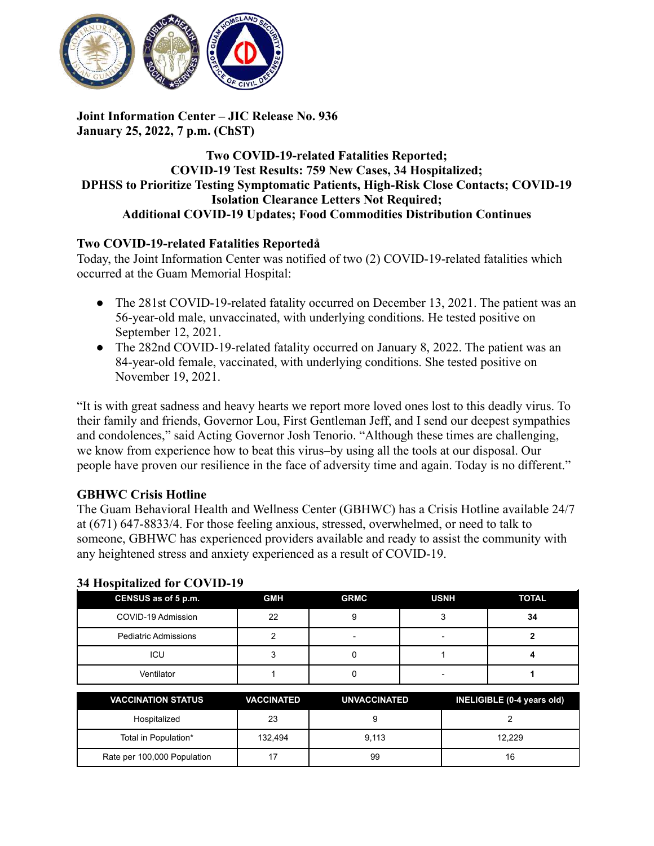

## **Joint Information Center – JIC Release No. 936 January 25, 2022, 7 p.m. (ChST)**

## **Two COVID-19-related Fatalities Reported; COVID-19 Test Results: 759 New Cases, 34 Hospitalized; DPHSS to Prioritize Testing Symptomatic Patients, High-Risk Close Contacts; COVID-19 Isolation Clearance Letters Not Required; Additional COVID-19 Updates; Food Commodities Distribution Continues**

# **Two COVID-19-related Fatalities Reportedå**

Today, the Joint Information Center was notified of two (2) COVID-19-related fatalities which occurred at the Guam Memorial Hospital:

- The 281st COVID-19-related fatality occurred on December 13, 2021. The patient was an 56-year-old male, unvaccinated, with underlying conditions. He tested positive on September 12, 2021.
- The 282nd COVID-19-related fatality occurred on January 8, 2022. The patient was an 84-year-old female, vaccinated, with underlying conditions. She tested positive on November 19, 2021.

"It is with great sadness and heavy hearts we report more loved ones lost to this deadly virus. To their family and friends, Governor Lou, First Gentleman Jeff, and I send our deepest sympathies and condolences," said Acting Governor Josh Tenorio. "Although these times are challenging, we know from experience how to beat this virus–by using all the tools at our disposal. Our people have proven our resilience in the face of adversity time and again. Today is no different."

### **GBHWC Crisis Hotline**

The Guam Behavioral Health and Wellness Center (GBHWC) has a Crisis Hotline available 24/7 at (671) 647-8833/4. For those feeling anxious, stressed, overwhelmed, or need to talk to someone, GBHWC has experienced providers available and ready to assist the community with any heightened stress and anxiety experienced as a result of COVID-19.

| $\sim$<br>CENSUS as of 5 p.m. | <b>GMH</b> | <b>GRMC</b> | <b>USNH</b> | <b>TOTAL</b> |
|-------------------------------|------------|-------------|-------------|--------------|
| COVID-19 Admission            | 22         |             |             | 34           |
| <b>Pediatric Admissions</b>   |            | -           |             |              |
| ICU                           |            |             |             |              |
| Ventilator                    |            |             |             |              |

### **34 Hospitalized for COVID-19**

| <b>VACCINATION STATUS</b>   | <b>VACCINATED</b> | UNVACCINATED | INELIGIBLE (0-4 years old) |
|-----------------------------|-------------------|--------------|----------------------------|
| Hospitalized                | 23                |              |                            |
| Total in Population*        | 132.494           | 9.113        | 12.229                     |
| Rate per 100,000 Population |                   | 99           | 16                         |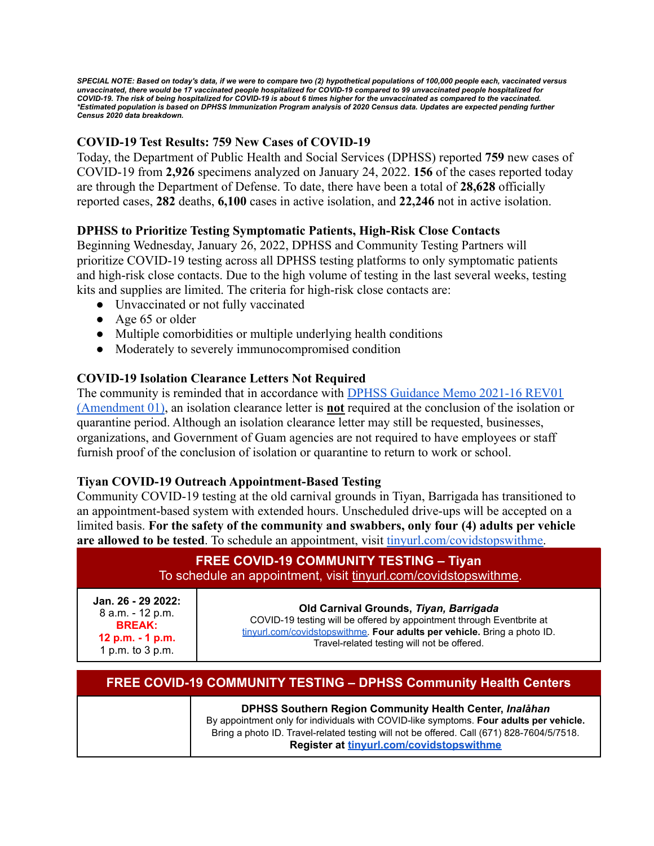SPECIAL NOTE: Based on today's data, if we were to compare two (2) hypothetical populations of 100,000 people each, vaccinated versus unvaccinated, there would be 17 vaccinated people hospitalized for COVID-19 compared to 99 unvaccinated people hospitalized for COVID-19. The risk of being hospitalized for COVID-19 is about 6 times higher for the unvaccinated as compared to the vaccinated. \*Estimated population is based on DPHSS Immunization Program analysis of 2020 Census data. Updates are expected pending further *Census 2020 data breakdown.*

# **COVID-19 Test Results: 759 New Cases of COVID-19**

Today, the Department of Public Health and Social Services (DPHSS) reported **759** new cases of COVID-19 from **2,926** specimens analyzed on January 24, 2022. **156** of the cases reported today are through the Department of Defense. To date, there have been a total of **28,628** officially reported cases, **282** deaths, **6,100** cases in active isolation, and **22,246** not in active isolation.

### **DPHSS to Prioritize Testing Symptomatic Patients, High-Risk Close Contacts**

Beginning Wednesday, January 26, 2022, DPHSS and Community Testing Partners will prioritize COVID-19 testing across all DPHSS testing platforms to only symptomatic patients and high-risk close contacts. Due to the high volume of testing in the last several weeks, testing kits and supplies are limited. The criteria for high-risk close contacts are:

- Unvaccinated or not fully vaccinated
- Age 65 or older
- Multiple comorbidities or multiple underlying health conditions
- Moderately to severely immunocompromised condition

#### **COVID-19 Isolation Clearance Letters Not Required**

The community is reminded that in accordance with [DPHSS Guidance Memo 2021-16 REV01](https://dphss.guam.gov/wp-content/uploads/2022/01/DPHSS-GUIDANCE-MEMO-2021-16-REV01-Amendment-01-01-18-2022.pdf) [\(Amendment 01\)](https://dphss.guam.gov/wp-content/uploads/2022/01/DPHSS-GUIDANCE-MEMO-2021-16-REV01-Amendment-01-01-18-2022.pdf), an isolation clearance letter is **not** required at the conclusion of the isolation or quarantine period. Although an isolation clearance letter may still be requested, businesses, organizations, and Government of Guam agencies are not required to have employees or staff furnish proof of the conclusion of isolation or quarantine to return to work or school.

#### **Tiyan COVID-19 Outreach Appointment-Based Testing**

Community COVID-19 testing at the old carnival grounds in Tiyan, Barrigada has transitioned to an appointment-based system with extended hours. Unscheduled drive-ups will be accepted on a limited basis. **For the safety of the community and swabbers, only four (4) adults per vehicle are allowed to be tested**. To schedule an appointment, visit [tinyurl.com/covidstopswithme.](http://tinyurl.com/covidstopswithme)

| <b>FREE COVID-19 COMMUNITY TESTING - Tiyan</b><br>To schedule an appointment, visit tinyurl.com/covidstopswithme. |                                                                                                                                                                                                                                            |  |  |
|-------------------------------------------------------------------------------------------------------------------|--------------------------------------------------------------------------------------------------------------------------------------------------------------------------------------------------------------------------------------------|--|--|
| Jan. 26 - 29 2022:<br>8 a.m. - 12 p.m.<br><b>BREAK:</b><br>12 p.m. - 1 p.m.<br>1 p.m. to 3 p.m.                   | Old Carnival Grounds, Tiyan, Barrigada<br>COVID-19 testing will be offered by appointment through Eventbrite at<br>tinyurl.com/covidstopswithme. Four adults per vehicle. Bring a photo ID.<br>Travel-related testing will not be offered. |  |  |

| <b>FREE COVID-19 COMMUNITY TESTING - DPHSS Community Health Centers</b> |                                                                                                                                                                                                                                                                                            |  |  |
|-------------------------------------------------------------------------|--------------------------------------------------------------------------------------------------------------------------------------------------------------------------------------------------------------------------------------------------------------------------------------------|--|--|
|                                                                         | DPHSS Southern Region Community Health Center, Inalahan<br>By appointment only for individuals with COVID-like symptoms. Four adults per vehicle.<br>Bring a photo ID. Travel-related testing will not be offered. Call (671) 828-7604/5/7518.<br>Register at tinvurl.com/covidstopswithme |  |  |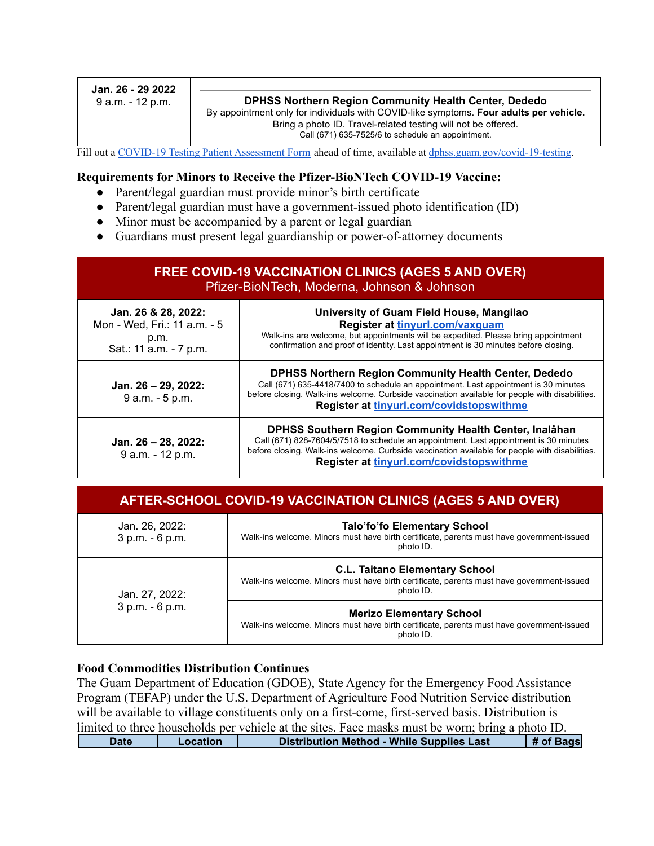| Jan. 26 - 29 2022<br>9 a.m. - 12 p.m. | <b>DPHSS Northern Region Community Health Center, Dededo</b><br>By appointment only for individuals with COVID-like symptoms. Four adults per vehicle.<br>Bring a photo ID. Travel-related testing will not be offered.<br>Call (671) 635-7525/6 to schedule an appointment. |
|---------------------------------------|------------------------------------------------------------------------------------------------------------------------------------------------------------------------------------------------------------------------------------------------------------------------------|
|                                       |                                                                                                                                                                                                                                                                              |

Fill out a COVID-19 Testing Patient [Assessment](https://dphss.guam.gov/wp-content/uploads/2021/09/DPHSS-TIYAN-Covid-PUI-Lab-Form-RLG.pdf) Form ahead of time, available at [dphss.guam.gov/covid-19-testing.](https://dphss.guam.gov/covid-19-testing/)

#### **Requirements for Minors to Receive the Pfizer-BioNTech COVID-19 Vaccine:**

- Parent/legal guardian must provide minor's birth certificate
- Parent/legal guardian must have a government-issued photo identification (ID)
- Minor must be accompanied by a parent or legal guardian
- Guardians must present legal guardianship or power-of-attorney documents

| <b>FREE COVID-19 VACCINATION CLINICS (AGES 5 AND OVER)</b><br>Pfizer-BioNTech, Moderna, Johnson & Johnson |                                                                                                                                                                                                                                                                                                   |  |  |
|-----------------------------------------------------------------------------------------------------------|---------------------------------------------------------------------------------------------------------------------------------------------------------------------------------------------------------------------------------------------------------------------------------------------------|--|--|
| Jan. 26 & 28, 2022:<br>Mon - Wed, Fri.: 11 a.m. - 5<br>p.m.<br>Sat.: 11 a.m. - 7 p.m.                     | University of Guam Field House, Mangilao<br>Register at tinyurl.com/vaxquam<br>Walk-ins are welcome, but appointments will be expedited. Please bring appointment<br>confirmation and proof of identity. Last appointment is 30 minutes before closing.                                           |  |  |
| Jan. 26 - 29, 2022:<br>9 a.m. - 5 p.m.                                                                    | <b>DPHSS Northern Region Community Health Center, Dededo</b><br>Call (671) 635-4418/7400 to schedule an appointment. Last appointment is 30 minutes<br>before closing. Walk-ins welcome. Curbside vaccination available for people with disabilities.<br>Register at tinyurl.com/covidstopswithme |  |  |
| Jan. 26 - 28, 2022:<br>9 a.m. - 12 p.m.                                                                   | DPHSS Southern Region Community Health Center, Inalåhan<br>Call (671) 828-7604/5/7518 to schedule an appointment. Last appointment is 30 minutes<br>before closing. Walk-ins welcome. Curbside vaccination available for people with disabilities.<br>Register at tinyurl.com/covidstopswithme    |  |  |

| Jan. 26, 2022:<br>3 p.m. - 6 p.m. | <b>Talo'fo'fo Elementary School</b><br>Walk-ins welcome. Minors must have birth certificate, parents must have government-issued<br>photo ID.   |  |
|-----------------------------------|-------------------------------------------------------------------------------------------------------------------------------------------------|--|
| Jan. 27, 2022:<br>3 p.m. - 6 p.m. | <b>C.L. Taitano Elementary School</b><br>Walk-ins welcome. Minors must have birth certificate, parents must have government-issued<br>photo ID. |  |
|                                   | <b>Merizo Elementary School</b><br>Walk-ins welcome. Minors must have birth certificate, parents must have government-issued<br>photo ID.       |  |

#### **Food Commodities Distribution Continues**

The Guam Department of Education (GDOE), State Agency for the Emergency Food Assistance Program (TEFAP) under the U.S. Department of Agriculture Food Nutrition Service distribution will be available to village constituents only on a first-come, first-served basis. Distribution is limited to three households per vehicle at the sites. Face masks must be worn; bring a photo ID. **Date Location Distribution Method - While Supplies Last # of Bags**